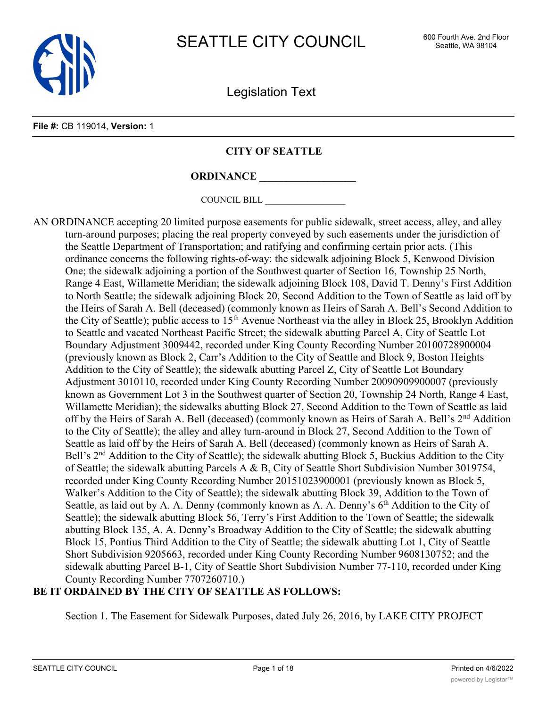

Legislation Text

#### **File #:** CB 119014, **Version:** 1

# **CITY OF SEATTLE**

**ORDINANCE \_\_\_\_\_\_\_\_\_\_\_\_\_\_\_\_\_\_**

COUNCIL BILL \_\_\_\_\_\_\_\_\_\_\_\_\_\_\_\_\_\_

AN ORDINANCE accepting 20 limited purpose easements for public sidewalk, street access, alley, and alley turn-around purposes; placing the real property conveyed by such easements under the jurisdiction of the Seattle Department of Transportation; and ratifying and confirming certain prior acts. (This ordinance concerns the following rights-of-way: the sidewalk adjoining Block 5, Kenwood Division One; the sidewalk adjoining a portion of the Southwest quarter of Section 16, Township 25 North, Range 4 East, Willamette Meridian; the sidewalk adjoining Block 108, David T. Denny's First Addition to North Seattle; the sidewalk adjoining Block 20, Second Addition to the Town of Seattle as laid off by the Heirs of Sarah A. Bell (deceased) (commonly known as Heirs of Sarah A. Bell's Second Addition to the City of Seattle); public access to  $15<sup>th</sup>$  Avenue Northeast via the alley in Block 25, Brooklyn Addition to Seattle and vacated Northeast Pacific Street; the sidewalk abutting Parcel A, City of Seattle Lot Boundary Adjustment 3009442, recorded under King County Recording Number 20100728900004 (previously known as Block 2, Carr's Addition to the City of Seattle and Block 9, Boston Heights Addition to the City of Seattle); the sidewalk abutting Parcel Z, City of Seattle Lot Boundary Adjustment 3010110, recorded under King County Recording Number 20090909900007 (previously known as Government Lot 3 in the Southwest quarter of Section 20, Township 24 North, Range 4 East, Willamette Meridian); the sidewalks abutting Block 27, Second Addition to the Town of Seattle as laid off by the Heirs of Sarah A. Bell (deceased) (commonly known as Heirs of Sarah A. Bell's 2<sup>nd</sup> Addition to the City of Seattle); the alley and alley turn-around in Block 27, Second Addition to the Town of Seattle as laid off by the Heirs of Sarah A. Bell (deceased) (commonly known as Heirs of Sarah A. Bell's 2<sup>nd</sup> Addition to the City of Seattle); the sidewalk abutting Block 5, Buckius Addition to the City of Seattle; the sidewalk abutting Parcels A & B, City of Seattle Short Subdivision Number 3019754, recorded under King County Recording Number 20151023900001 (previously known as Block 5, Walker's Addition to the City of Seattle); the sidewalk abutting Block 39, Addition to the Town of Seattle, as laid out by A. A. Denny (commonly known as A. A. Denny's 6<sup>th</sup> Addition to the City of Seattle); the sidewalk abutting Block 56, Terry's First Addition to the Town of Seattle; the sidewalk abutting Block 135, A. A. Denny's Broadway Addition to the City of Seattle; the sidewalk abutting Block 15, Pontius Third Addition to the City of Seattle; the sidewalk abutting Lot 1, City of Seattle Short Subdivision 9205663, recorded under King County Recording Number 9608130752; and the sidewalk abutting Parcel B-1, City of Seattle Short Subdivision Number 77-110, recorded under King County Recording Number 7707260710.)

# **BE IT ORDAINED BY THE CITY OF SEATTLE AS FOLLOWS:**

Section 1. The Easement for Sidewalk Purposes, dated July 26, 2016, by LAKE CITY PROJECT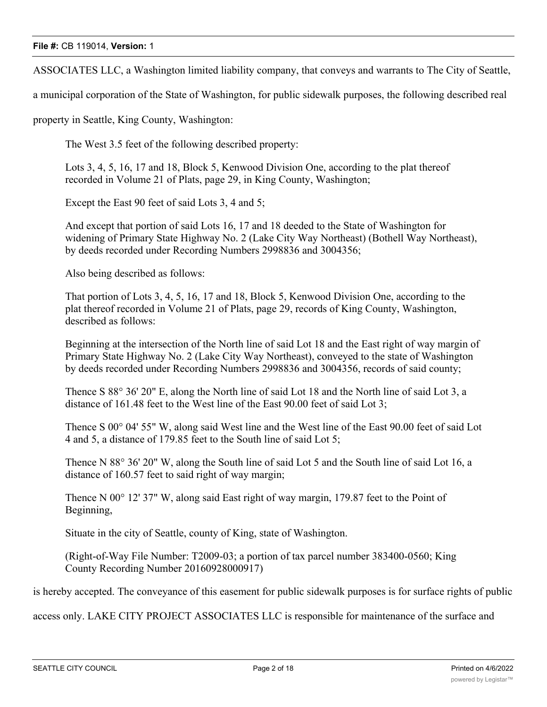ASSOCIATES LLC, a Washington limited liability company, that conveys and warrants to The City of Seattle,

a municipal corporation of the State of Washington, for public sidewalk purposes, the following described real

property in Seattle, King County, Washington:

The West 3.5 feet of the following described property:

Lots 3, 4, 5, 16, 17 and 18, Block 5, Kenwood Division One, according to the plat thereof recorded in Volume 21 of Plats, page 29, in King County, Washington;

Except the East 90 feet of said Lots 3, 4 and 5;

And except that portion of said Lots 16, 17 and 18 deeded to the State of Washington for widening of Primary State Highway No. 2 (Lake City Way Northeast) (Bothell Way Northeast), by deeds recorded under Recording Numbers 2998836 and 3004356;

Also being described as follows:

That portion of Lots 3, 4, 5, 16, 17 and 18, Block 5, Kenwood Division One, according to the plat thereof recorded in Volume 21 of Plats, page 29, records of King County, Washington, described as follows:

Beginning at the intersection of the North line of said Lot 18 and the East right of way margin of Primary State Highway No. 2 (Lake City Way Northeast), conveyed to the state of Washington by deeds recorded under Recording Numbers 2998836 and 3004356, records of said county;

Thence S 88° 36' 20" E, along the North line of said Lot 18 and the North line of said Lot 3, a distance of 161.48 feet to the West line of the East 90.00 feet of said Lot 3;

Thence S 00° 04' 55" W, along said West line and the West line of the East 90.00 feet of said Lot 4 and 5, a distance of 179.85 feet to the South line of said Lot 5;

Thence N 88° 36' 20" W, along the South line of said Lot 5 and the South line of said Lot 16, a distance of 160.57 feet to said right of way margin;

Thence N 00° 12' 37" W, along said East right of way margin, 179.87 feet to the Point of Beginning,

Situate in the city of Seattle, county of King, state of Washington.

(Right-of-Way File Number: T2009-03; a portion of tax parcel number 383400-0560; King County Recording Number 20160928000917)

is hereby accepted. The conveyance of this easement for public sidewalk purposes is for surface rights of public

access only. LAKE CITY PROJECT ASSOCIATES LLC is responsible for maintenance of the surface and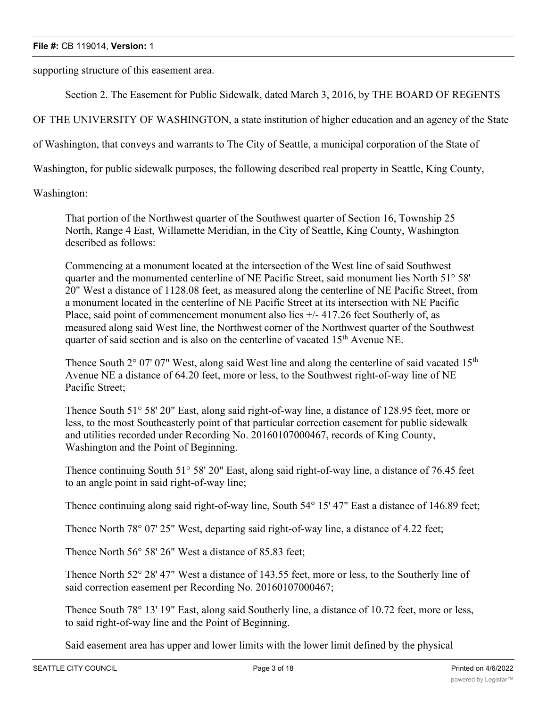supporting structure of this easement area.

Section 2. The Easement for Public Sidewalk, dated March 3, 2016, by THE BOARD OF REGENTS

OF THE UNIVERSITY OF WASHINGTON, a state institution of higher education and an agency of the State

of Washington, that conveys and warrants to The City of Seattle, a municipal corporation of the State of

Washington, for public sidewalk purposes, the following described real property in Seattle, King County,

Washington:

That portion of the Northwest quarter of the Southwest quarter of Section 16, Township 25 North, Range 4 East, Willamette Meridian, in the City of Seattle, King County, Washington described as follows:

Commencing at a monument located at the intersection of the West line of said Southwest quarter and the monumented centerline of NE Pacific Street, said monument lies North 51° 58' 20" West a distance of 1128.08 feet, as measured along the centerline of NE Pacific Street, from a monument located in the centerline of NE Pacific Street at its intersection with NE Pacific Place, said point of commencement monument also lies  $+/- 417.26$  feet Southerly of, as measured along said West line, the Northwest corner of the Northwest quarter of the Southwest quarter of said section and is also on the centerline of vacated 15<sup>th</sup> Avenue NE.

Thence South  $2^{\circ}$  07' 07" West, along said West line and along the centerline of said vacated 15<sup>th</sup> Avenue NE a distance of 64.20 feet, more or less, to the Southwest right-of-way line of NE Pacific Street;

Thence South 51° 58' 20" East, along said right-of-way line, a distance of 128.95 feet, more or less, to the most Southeasterly point of that particular correction easement for public sidewalk and utilities recorded under Recording No. 20160107000467, records of King County, Washington and the Point of Beginning.

Thence continuing South 51° 58' 20" East, along said right-of-way line, a distance of 76.45 feet to an angle point in said right-of-way line;

Thence continuing along said right-of-way line, South 54° 15' 47" East a distance of 146.89 feet;

Thence North 78° 07' 25" West, departing said right-of-way line, a distance of 4.22 feet;

Thence North 56° 58' 26" West a distance of 85.83 feet;

Thence North 52° 28' 47" West a distance of 143.55 feet, more or less, to the Southerly line of said correction easement per Recording No. 20160107000467;

Thence South 78° 13' 19" East, along said Southerly line, a distance of 10.72 feet, more or less, to said right-of-way line and the Point of Beginning.

Said easement area has upper and lower limits with the lower limit defined by the physical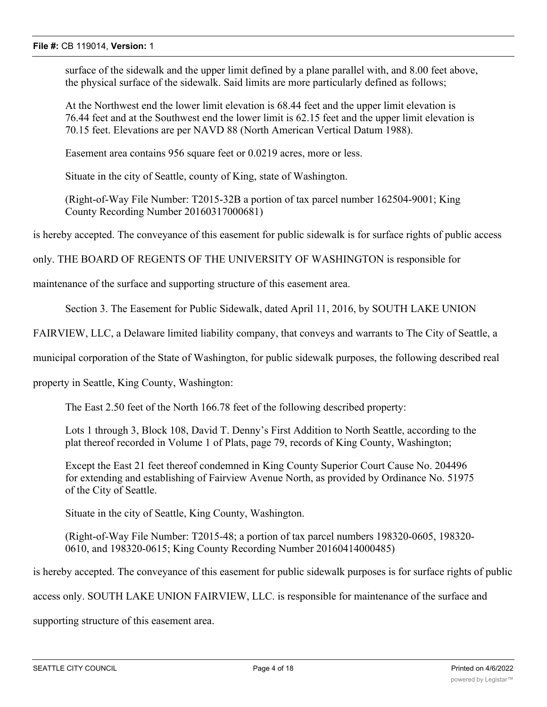surface of the sidewalk and the upper limit defined by a plane parallel with, and 8.00 feet above, the physical surface of the sidewalk. Said limits are more particularly defined as follows;

At the Northwest end the lower limit elevation is 68.44 feet and the upper limit elevation is 76.44 feet and at the Southwest end the lower limit is 62.15 feet and the upper limit elevation is 70.15 feet. Elevations are per NAVD 88 (North American Vertical Datum 1988).

Easement area contains 956 square feet or 0.0219 acres, more or less.

Situate in the city of Seattle, county of King, state of Washington.

(Right-of-Way File Number: T2015-32B a portion of tax parcel number 162504-9001; King County Recording Number 20160317000681)

is hereby accepted. The conveyance of this easement for public sidewalk is for surface rights of public access

only. THE BOARD OF REGENTS OF THE UNIVERSITY OF WASHINGTON is responsible for

maintenance of the surface and supporting structure of this easement area.

Section 3. The Easement for Public Sidewalk, dated April 11, 2016, by SOUTH LAKE UNION

FAIRVIEW, LLC, a Delaware limited liability company, that conveys and warrants to The City of Seattle, a

municipal corporation of the State of Washington, for public sidewalk purposes, the following described real

property in Seattle, King County, Washington:

The East 2.50 feet of the North 166.78 feet of the following described property:

Lots 1 through 3, Block 108, David T. Denny's First Addition to North Seattle, according to the plat thereof recorded in Volume 1 of Plats, page 79, records of King County, Washington;

Except the East 21 feet thereof condemned in King County Superior Court Cause No. 204496 for extending and establishing of Fairview Avenue North, as provided by Ordinance No. 51975 of the City of Seattle.

Situate in the city of Seattle, King County, Washington.

(Right-of-Way File Number: T2015-48; a portion of tax parcel numbers 198320-0605, 198320- 0610, and 198320-0615; King County Recording Number 20160414000485)

is hereby accepted. The conveyance of this easement for public sidewalk purposes is for surface rights of public

access only. SOUTH LAKE UNION FAIRVIEW, LLC. is responsible for maintenance of the surface and

supporting structure of this easement area.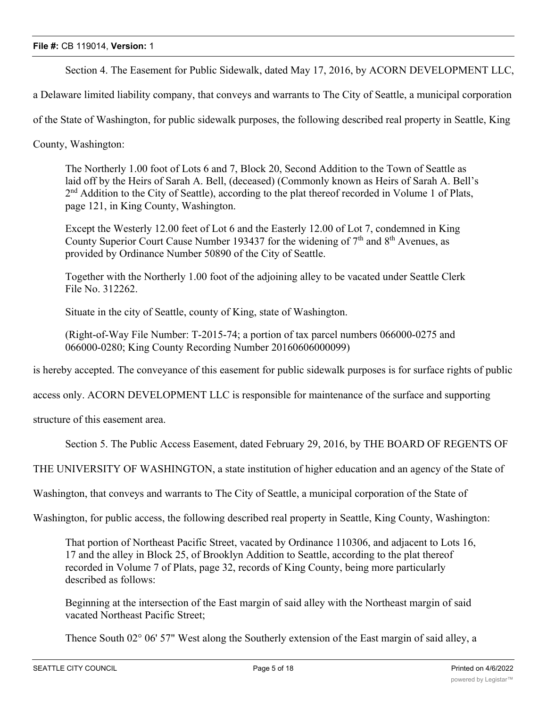Section 4. The Easement for Public Sidewalk, dated May 17, 2016, by ACORN DEVELOPMENT LLC,

a Delaware limited liability company, that conveys and warrants to The City of Seattle, a municipal corporation

of the State of Washington, for public sidewalk purposes, the following described real property in Seattle, King

County, Washington:

The Northerly 1.00 foot of Lots 6 and 7, Block 20, Second Addition to the Town of Seattle as laid off by the Heirs of Sarah A. Bell, (deceased) (Commonly known as Heirs of Sarah A. Bell's 2<sup>nd</sup> Addition to the City of Seattle), according to the plat thereof recorded in Volume 1 of Plats, page 121, in King County, Washington.

Except the Westerly 12.00 feet of Lot 6 and the Easterly 12.00 of Lot 7, condemned in King County Superior Court Cause Number 193437 for the widening of  $7<sup>th</sup>$  and  $8<sup>th</sup>$  Avenues, as provided by Ordinance Number 50890 of the City of Seattle.

Together with the Northerly 1.00 foot of the adjoining alley to be vacated under Seattle Clerk File No. 312262.

Situate in the city of Seattle, county of King, state of Washington.

(Right-of-Way File Number: T-2015-74; a portion of tax parcel numbers 066000-0275 and 066000-0280; King County Recording Number 20160606000099)

is hereby accepted. The conveyance of this easement for public sidewalk purposes is for surface rights of public

access only. ACORN DEVELOPMENT LLC is responsible for maintenance of the surface and supporting

structure of this easement area.

Section 5. The Public Access Easement, dated February 29, 2016, by THE BOARD OF REGENTS OF

THE UNIVERSITY OF WASHINGTON, a state institution of higher education and an agency of the State of

Washington, that conveys and warrants to The City of Seattle, a municipal corporation of the State of

Washington, for public access, the following described real property in Seattle, King County, Washington:

That portion of Northeast Pacific Street, vacated by Ordinance 110306, and adjacent to Lots 16, 17 and the alley in Block 25, of Brooklyn Addition to Seattle, according to the plat thereof recorded in Volume 7 of Plats, page 32, records of King County, being more particularly described as follows:

Beginning at the intersection of the East margin of said alley with the Northeast margin of said vacated Northeast Pacific Street;

Thence South 02° 06' 57" West along the Southerly extension of the East margin of said alley, a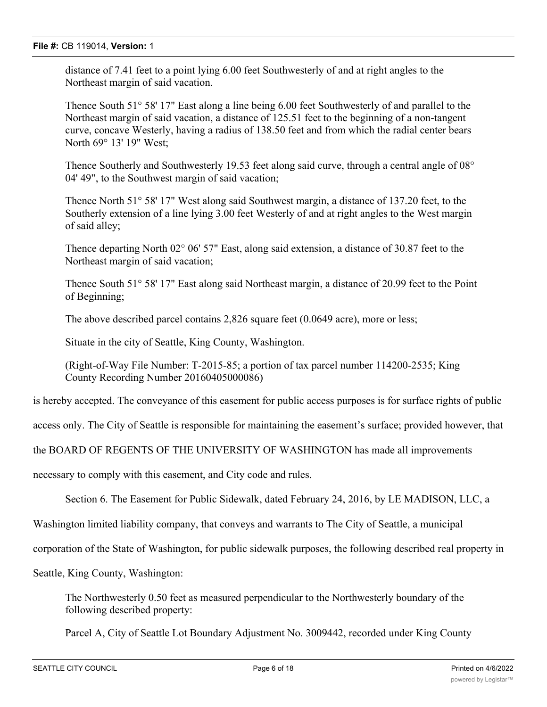distance of 7.41 feet to a point lying 6.00 feet Southwesterly of and at right angles to the Northeast margin of said vacation.

Thence South 51° 58' 17" East along a line being 6.00 feet Southwesterly of and parallel to the Northeast margin of said vacation, a distance of 125.51 feet to the beginning of a non-tangent curve, concave Westerly, having a radius of 138.50 feet and from which the radial center bears North 69° 13' 19" West;

Thence Southerly and Southwesterly 19.53 feet along said curve, through a central angle of 08° 04' 49", to the Southwest margin of said vacation;

Thence North 51° 58' 17" West along said Southwest margin, a distance of 137.20 feet, to the Southerly extension of a line lying 3.00 feet Westerly of and at right angles to the West margin of said alley;

Thence departing North 02° 06' 57" East, along said extension, a distance of 30.87 feet to the Northeast margin of said vacation;

Thence South 51° 58' 17" East along said Northeast margin, a distance of 20.99 feet to the Point of Beginning;

The above described parcel contains 2,826 square feet (0.0649 acre), more or less;

Situate in the city of Seattle, King County, Washington.

(Right-of-Way File Number: T-2015-85; a portion of tax parcel number 114200-2535; King County Recording Number 20160405000086)

is hereby accepted. The conveyance of this easement for public access purposes is for surface rights of public

access only. The City of Seattle is responsible for maintaining the easement's surface; provided however, that

the BOARD OF REGENTS OF THE UNIVERSITY OF WASHINGTON has made all improvements

necessary to comply with this easement, and City code and rules.

Section 6. The Easement for Public Sidewalk, dated February 24, 2016, by LE MADISON, LLC, a

Washington limited liability company, that conveys and warrants to The City of Seattle, a municipal

corporation of the State of Washington, for public sidewalk purposes, the following described real property in

Seattle, King County, Washington:

The Northwesterly 0.50 feet as measured perpendicular to the Northwesterly boundary of the following described property:

Parcel A, City of Seattle Lot Boundary Adjustment No. 3009442, recorded under King County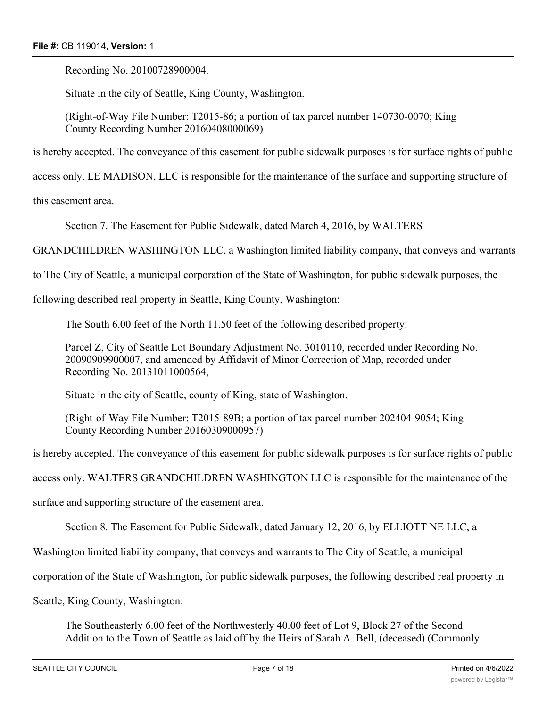Recording No. 20100728900004.

Situate in the city of Seattle, King County, Washington.

(Right-of-Way File Number: T2015-86; a portion of tax parcel number 140730-0070; King County Recording Number 20160408000069)

is hereby accepted. The conveyance of this easement for public sidewalk purposes is for surface rights of public

access only. LE MADISON, LLC is responsible for the maintenance of the surface and supporting structure of

this easement area.

Section 7. The Easement for Public Sidewalk, dated March 4, 2016, by WALTERS

GRANDCHILDREN WASHINGTON LLC, a Washington limited liability company, that conveys and warrants

to The City of Seattle, a municipal corporation of the State of Washington, for public sidewalk purposes, the

following described real property in Seattle, King County, Washington:

The South 6.00 feet of the North 11.50 feet of the following described property:

Parcel Z, City of Seattle Lot Boundary Adjustment No. 3010110, recorded under Recording No. 20090909900007, and amended by Affidavit of Minor Correction of Map, recorded under Recording No. 20131011000564,

Situate in the city of Seattle, county of King, state of Washington.

(Right-of-Way File Number: T2015-89B; a portion of tax parcel number 202404-9054; King County Recording Number 20160309000957)

is hereby accepted. The conveyance of this easement for public sidewalk purposes is for surface rights of public

access only. WALTERS GRANDCHILDREN WASHINGTON LLC is responsible for the maintenance of the

surface and supporting structure of the easement area.

Section 8. The Easement for Public Sidewalk, dated January 12, 2016, by ELLIOTT NE LLC, a

Washington limited liability company, that conveys and warrants to The City of Seattle, a municipal

corporation of the State of Washington, for public sidewalk purposes, the following described real property in

Seattle, King County, Washington:

The Southeasterly 6.00 feet of the Northwesterly 40.00 feet of Lot 9, Block 27 of the Second Addition to the Town of Seattle as laid off by the Heirs of Sarah A. Bell, (deceased) (Commonly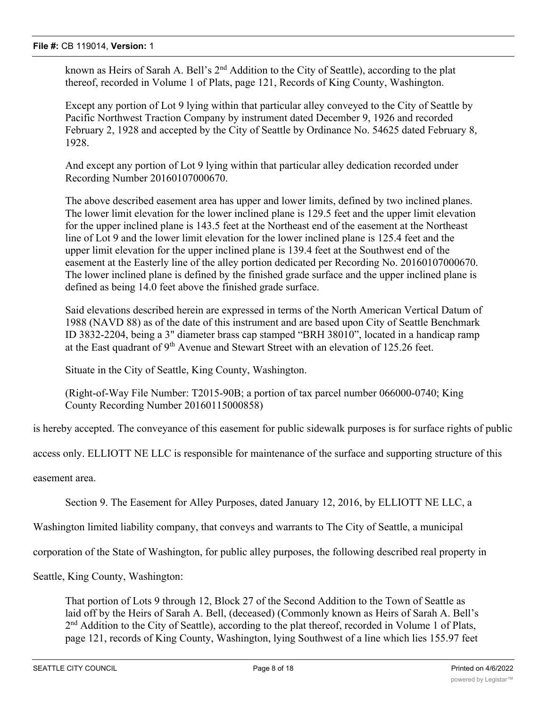known as Heirs of Sarah A. Bell's  $2<sup>nd</sup>$  Addition to the City of Seattle), according to the plat thereof, recorded in Volume 1 of Plats, page 121, Records of King County, Washington.

Except any portion of Lot 9 lying within that particular alley conveyed to the City of Seattle by Pacific Northwest Traction Company by instrument dated December 9, 1926 and recorded February 2, 1928 and accepted by the City of Seattle by Ordinance No. 54625 dated February 8, 1928.

And except any portion of Lot 9 lying within that particular alley dedication recorded under Recording Number 20160107000670.

The above described easement area has upper and lower limits, defined by two inclined planes. The lower limit elevation for the lower inclined plane is 129.5 feet and the upper limit elevation for the upper inclined plane is 143.5 feet at the Northeast end of the easement at the Northeast line of Lot 9 and the lower limit elevation for the lower inclined plane is 125.4 feet and the upper limit elevation for the upper inclined plane is 139.4 feet at the Southwest end of the easement at the Easterly line of the alley portion dedicated per Recording No. 20160107000670. The lower inclined plane is defined by the finished grade surface and the upper inclined plane is defined as being 14.0 feet above the finished grade surface.

Said elevations described herein are expressed in terms of the North American Vertical Datum of 1988 (NAVD 88) as of the date of this instrument and are based upon City of Seattle Benchmark ID 3832-2204, being a 3" diameter brass cap stamped "BRH 38010", located in a handicap ramp at the East quadrant of 9<sup>th</sup> Avenue and Stewart Street with an elevation of 125.26 feet.

Situate in the City of Seattle, King County, Washington.

(Right-of-Way File Number: T2015-90B; a portion of tax parcel number 066000-0740; King County Recording Number 20160115000858)

is hereby accepted. The conveyance of this easement for public sidewalk purposes is for surface rights of public

access only. ELLIOTT NE LLC is responsible for maintenance of the surface and supporting structure of this

easement area.

Section 9. The Easement for Alley Purposes, dated January 12, 2016, by ELLIOTT NE LLC, a

Washington limited liability company, that conveys and warrants to The City of Seattle, a municipal

corporation of the State of Washington, for public alley purposes, the following described real property in

Seattle, King County, Washington:

That portion of Lots 9 through 12, Block 27 of the Second Addition to the Town of Seattle as laid off by the Heirs of Sarah A. Bell, (deceased) (Commonly known as Heirs of Sarah A. Bell's  $2<sup>nd</sup>$  Addition to the City of Seattle), according to the plat thereof, recorded in Volume 1 of Plats, page 121, records of King County, Washington, lying Southwest of a line which lies 155.97 feet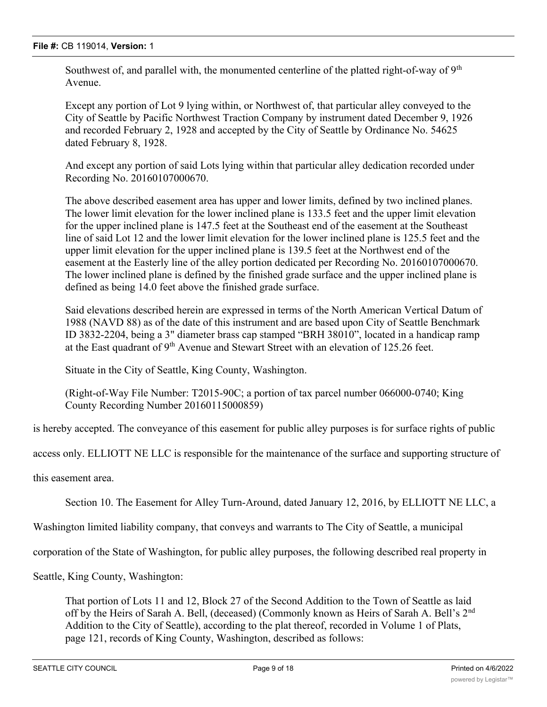Southwest of, and parallel with, the monumented centerline of the platted right-of-way of  $9<sup>th</sup>$ Avenue.

Except any portion of Lot 9 lying within, or Northwest of, that particular alley conveyed to the City of Seattle by Pacific Northwest Traction Company by instrument dated December 9, 1926 and recorded February 2, 1928 and accepted by the City of Seattle by Ordinance No. 54625 dated February 8, 1928.

And except any portion of said Lots lying within that particular alley dedication recorded under Recording No. 20160107000670.

The above described easement area has upper and lower limits, defined by two inclined planes. The lower limit elevation for the lower inclined plane is 133.5 feet and the upper limit elevation for the upper inclined plane is 147.5 feet at the Southeast end of the easement at the Southeast line of said Lot 12 and the lower limit elevation for the lower inclined plane is 125.5 feet and the upper limit elevation for the upper inclined plane is 139.5 feet at the Northwest end of the easement at the Easterly line of the alley portion dedicated per Recording No. 20160107000670. The lower inclined plane is defined by the finished grade surface and the upper inclined plane is defined as being 14.0 feet above the finished grade surface.

Said elevations described herein are expressed in terms of the North American Vertical Datum of 1988 (NAVD 88) as of the date of this instrument and are based upon City of Seattle Benchmark ID 3832-2204, being a 3" diameter brass cap stamped "BRH 38010", located in a handicap ramp at the East quadrant of 9<sup>th</sup> Avenue and Stewart Street with an elevation of 125.26 feet.

Situate in the City of Seattle, King County, Washington.

(Right-of-Way File Number: T2015-90C; a portion of tax parcel number 066000-0740; King County Recording Number 20160115000859)

is hereby accepted. The conveyance of this easement for public alley purposes is for surface rights of public

access only. ELLIOTT NE LLC is responsible for the maintenance of the surface and supporting structure of

this easement area.

Section 10. The Easement for Alley Turn-Around, dated January 12, 2016, by ELLIOTT NE LLC, a

Washington limited liability company, that conveys and warrants to The City of Seattle, a municipal

corporation of the State of Washington, for public alley purposes, the following described real property in

Seattle, King County, Washington:

That portion of Lots 11 and 12, Block 27 of the Second Addition to the Town of Seattle as laid off by the Heirs of Sarah A. Bell, (deceased) (Commonly known as Heirs of Sarah A. Bell's 2<sup>nd</sup> Addition to the City of Seattle), according to the plat thereof, recorded in Volume 1 of Plats, page 121, records of King County, Washington, described as follows: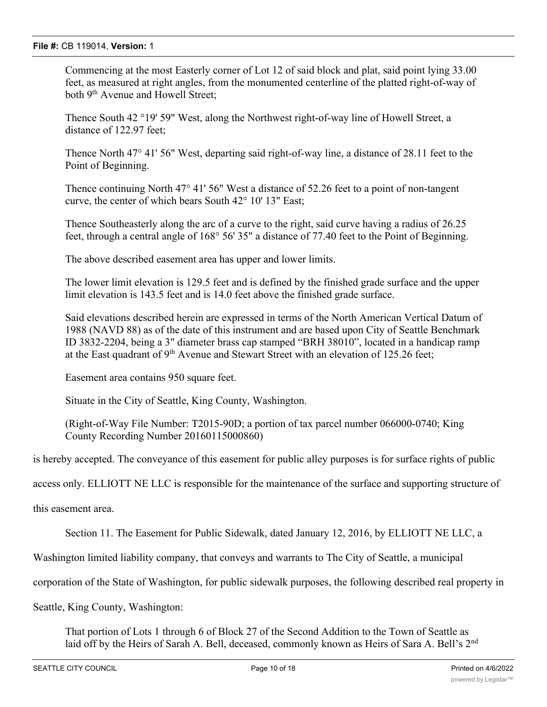Commencing at the most Easterly corner of Lot 12 of said block and plat, said point lying 33.00 feet, as measured at right angles, from the monumented centerline of the platted right-of-way of both 9<sup>th</sup> Avenue and Howell Street;

Thence South 42 °19' 59" West, along the Northwest right-of-way line of Howell Street, a distance of 122.97 feet;

Thence North 47° 41' 56" West, departing said right-of-way line, a distance of 28.11 feet to the Point of Beginning.

Thence continuing North 47° 41' 56" West a distance of 52.26 feet to a point of non-tangent curve, the center of which bears South 42° 10' 13" East;

Thence Southeasterly along the arc of a curve to the right, said curve having a radius of 26.25 feet, through a central angle of 168° 56' 35" a distance of 77.40 feet to the Point of Beginning.

The above described easement area has upper and lower limits.

The lower limit elevation is 129.5 feet and is defined by the finished grade surface and the upper limit elevation is 143.5 feet and is 14.0 feet above the finished grade surface.

Said elevations described herein are expressed in terms of the North American Vertical Datum of 1988 (NAVD 88) as of the date of this instrument and are based upon City of Seattle Benchmark ID 3832-2204, being a 3" diameter brass cap stamped "BRH 38010", located in a handicap ramp at the East quadrant of  $9<sup>th</sup>$  Avenue and Stewart Street with an elevation of 125.26 feet;

Easement area contains 950 square feet.

Situate in the City of Seattle, King County, Washington.

(Right-of-Way File Number: T2015-90D; a portion of tax parcel number 066000-0740; King County Recording Number 20160115000860)

is hereby accepted. The conveyance of this easement for public alley purposes is for surface rights of public

access only. ELLIOTT NE LLC is responsible for the maintenance of the surface and supporting structure of

this easement area.

Section 11. The Easement for Public Sidewalk, dated January 12, 2016, by ELLIOTT NE LLC, a

Washington limited liability company, that conveys and warrants to The City of Seattle, a municipal

corporation of the State of Washington, for public sidewalk purposes, the following described real property in

Seattle, King County, Washington:

That portion of Lots 1 through 6 of Block 27 of the Second Addition to the Town of Seattle as laid off by the Heirs of Sarah A. Bell, deceased, commonly known as Heirs of Sara A. Bell's 2<sup>nd</sup>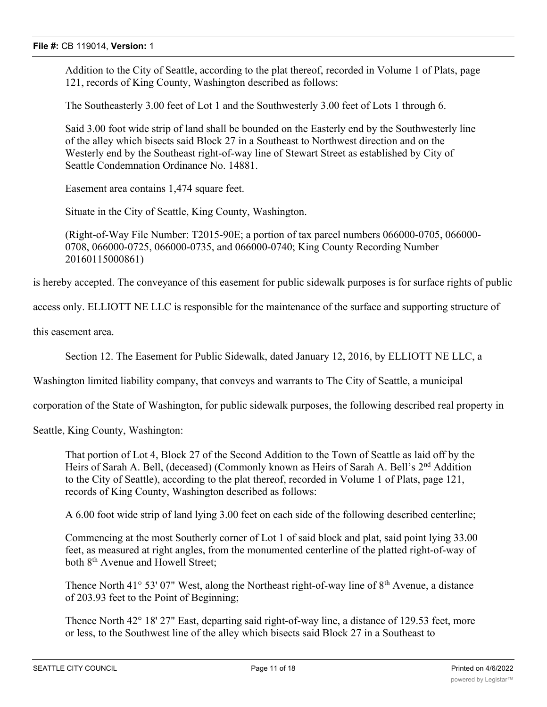Addition to the City of Seattle, according to the plat thereof, recorded in Volume 1 of Plats, page 121, records of King County, Washington described as follows:

The Southeasterly 3.00 feet of Lot 1 and the Southwesterly 3.00 feet of Lots 1 through 6.

Said 3.00 foot wide strip of land shall be bounded on the Easterly end by the Southwesterly line of the alley which bisects said Block 27 in a Southeast to Northwest direction and on the Westerly end by the Southeast right-of-way line of Stewart Street as established by City of Seattle Condemnation Ordinance No. 14881.

Easement area contains 1,474 square feet.

Situate in the City of Seattle, King County, Washington.

(Right-of-Way File Number: T2015-90E; a portion of tax parcel numbers 066000-0705, 066000- 0708, 066000-0725, 066000-0735, and 066000-0740; King County Recording Number 20160115000861)

is hereby accepted. The conveyance of this easement for public sidewalk purposes is for surface rights of public

access only. ELLIOTT NE LLC is responsible for the maintenance of the surface and supporting structure of

this easement area.

Section 12. The Easement for Public Sidewalk, dated January 12, 2016, by ELLIOTT NE LLC, a

Washington limited liability company, that conveys and warrants to The City of Seattle, a municipal

corporation of the State of Washington, for public sidewalk purposes, the following described real property in

Seattle, King County, Washington:

That portion of Lot 4, Block 27 of the Second Addition to the Town of Seattle as laid off by the Heirs of Sarah A. Bell, (deceased) (Commonly known as Heirs of Sarah A. Bell's 2<sup>nd</sup> Addition to the City of Seattle), according to the plat thereof, recorded in Volume 1 of Plats, page 121, records of King County, Washington described as follows:

A 6.00 foot wide strip of land lying 3.00 feet on each side of the following described centerline;

Commencing at the most Southerly corner of Lot 1 of said block and plat, said point lying 33.00 feet, as measured at right angles, from the monumented centerline of the platted right-of-way of both 8<sup>th</sup> Avenue and Howell Street;

Thence North 41 $\degree$  53' 07" West, along the Northeast right-of-way line of  $8<sup>th</sup>$  Avenue, a distance of 203.93 feet to the Point of Beginning;

Thence North 42° 18' 27" East, departing said right-of-way line, a distance of 129.53 feet, more or less, to the Southwest line of the alley which bisects said Block 27 in a Southeast to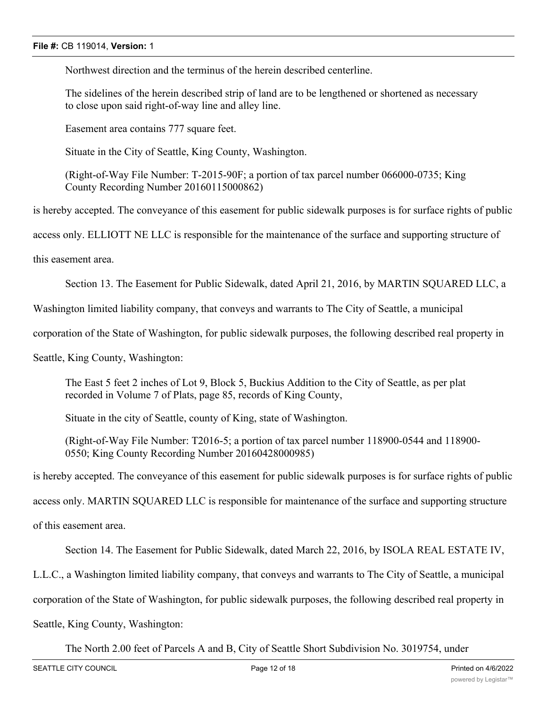Northwest direction and the terminus of the herein described centerline.

The sidelines of the herein described strip of land are to be lengthened or shortened as necessary to close upon said right-of-way line and alley line.

Easement area contains 777 square feet.

Situate in the City of Seattle, King County, Washington.

(Right-of-Way File Number: T-2015-90F; a portion of tax parcel number 066000-0735; King County Recording Number 20160115000862)

is hereby accepted. The conveyance of this easement for public sidewalk purposes is for surface rights of public

access only. ELLIOTT NE LLC is responsible for the maintenance of the surface and supporting structure of

this easement area.

Section 13. The Easement for Public Sidewalk, dated April 21, 2016, by MARTIN SQUARED LLC, a

Washington limited liability company, that conveys and warrants to The City of Seattle, a municipal

corporation of the State of Washington, for public sidewalk purposes, the following described real property in

Seattle, King County, Washington:

The East 5 feet 2 inches of Lot 9, Block 5, Buckius Addition to the City of Seattle, as per plat recorded in Volume 7 of Plats, page 85, records of King County,

Situate in the city of Seattle, county of King, state of Washington.

(Right-of-Way File Number: T2016-5; a portion of tax parcel number 118900-0544 and 118900- 0550; King County Recording Number 20160428000985)

is hereby accepted. The conveyance of this easement for public sidewalk purposes is for surface rights of public

access only. MARTIN SQUARED LLC is responsible for maintenance of the surface and supporting structure

of this easement area.

Section 14. The Easement for Public Sidewalk, dated March 22, 2016, by ISOLA REAL ESTATE IV,

L.L.C., a Washington limited liability company, that conveys and warrants to The City of Seattle, a municipal

corporation of the State of Washington, for public sidewalk purposes, the following described real property in

Seattle, King County, Washington:

The North 2.00 feet of Parcels A and B, City of Seattle Short Subdivision No. 3019754, under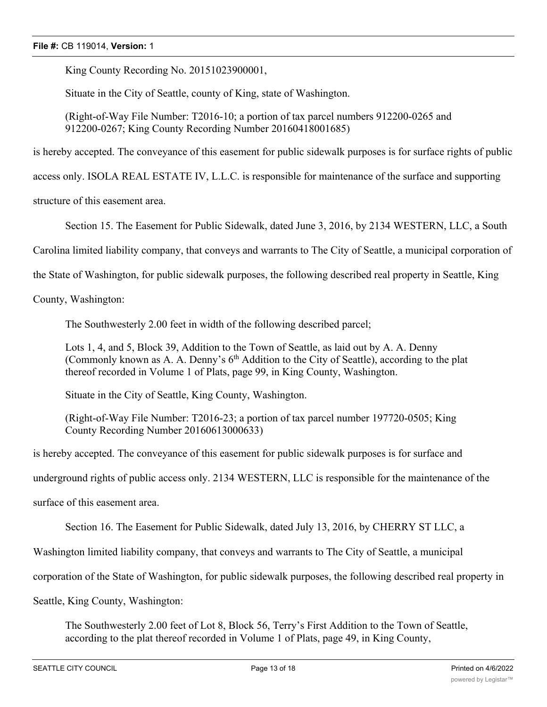King County Recording No. 20151023900001,

Situate in the City of Seattle, county of King, state of Washington.

(Right-of-Way File Number: T2016-10; a portion of tax parcel numbers 912200-0265 and 912200-0267; King County Recording Number 20160418001685)

is hereby accepted. The conveyance of this easement for public sidewalk purposes is for surface rights of public

access only. ISOLA REAL ESTATE IV, L.L.C. is responsible for maintenance of the surface and supporting

structure of this easement area.

Section 15. The Easement for Public Sidewalk, dated June 3, 2016, by 2134 WESTERN, LLC, a South

Carolina limited liability company, that conveys and warrants to The City of Seattle, a municipal corporation of

the State of Washington, for public sidewalk purposes, the following described real property in Seattle, King

County, Washington:

The Southwesterly 2.00 feet in width of the following described parcel;

Lots 1, 4, and 5, Block 39, Addition to the Town of Seattle, as laid out by A. A. Denny (Commonly known as A. A. Denny's  $6<sup>th</sup>$  Addition to the City of Seattle), according to the plat thereof recorded in Volume 1 of Plats, page 99, in King County, Washington.

Situate in the City of Seattle, King County, Washington.

(Right-of-Way File Number: T2016-23; a portion of tax parcel number 197720-0505; King County Recording Number 20160613000633)

is hereby accepted. The conveyance of this easement for public sidewalk purposes is for surface and

underground rights of public access only. 2134 WESTERN, LLC is responsible for the maintenance of the

surface of this easement area.

Section 16. The Easement for Public Sidewalk, dated July 13, 2016, by CHERRY ST LLC, a

Washington limited liability company, that conveys and warrants to The City of Seattle, a municipal

corporation of the State of Washington, for public sidewalk purposes, the following described real property in

Seattle, King County, Washington:

The Southwesterly 2.00 feet of Lot 8, Block 56, Terry's First Addition to the Town of Seattle, according to the plat thereof recorded in Volume 1 of Plats, page 49, in King County,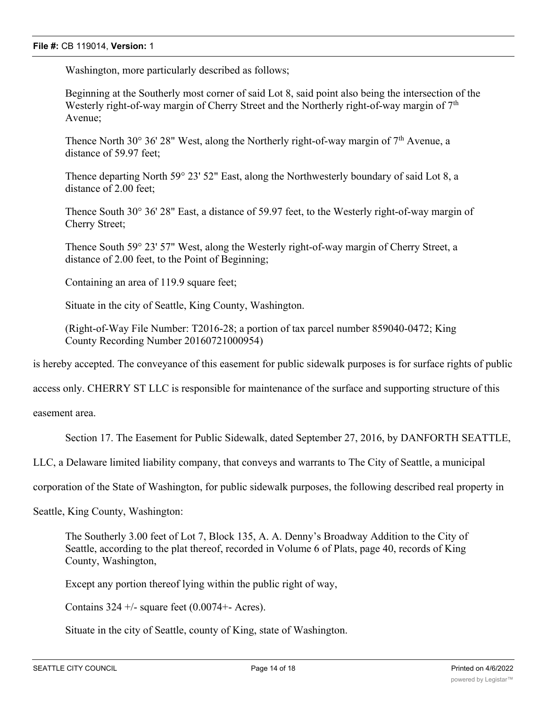Washington, more particularly described as follows;

Beginning at the Southerly most corner of said Lot 8, said point also being the intersection of the Westerly right-of-way margin of Cherry Street and the Northerly right-of-way margin of  $7<sup>th</sup>$ Avenue;

Thence North 30 $\degree$  36' 28" West, along the Northerly right-of-way margin of  $7<sup>th</sup>$  Avenue, a distance of 59.97 feet;

Thence departing North 59° 23' 52" East, along the Northwesterly boundary of said Lot 8, a distance of 2.00 feet;

Thence South 30° 36' 28" East, a distance of 59.97 feet, to the Westerly right-of-way margin of Cherry Street;

Thence South 59° 23' 57" West, along the Westerly right-of-way margin of Cherry Street, a distance of 2.00 feet, to the Point of Beginning;

Containing an area of 119.9 square feet;

Situate in the city of Seattle, King County, Washington.

(Right-of-Way File Number: T2016-28; a portion of tax parcel number 859040-0472; King County Recording Number 20160721000954)

is hereby accepted. The conveyance of this easement for public sidewalk purposes is for surface rights of public

access only. CHERRY ST LLC is responsible for maintenance of the surface and supporting structure of this

easement area.

Section 17. The Easement for Public Sidewalk, dated September 27, 2016, by DANFORTH SEATTLE,

LLC, a Delaware limited liability company, that conveys and warrants to The City of Seattle, a municipal

corporation of the State of Washington, for public sidewalk purposes, the following described real property in

Seattle, King County, Washington:

The Southerly 3.00 feet of Lot 7, Block 135, A. A. Denny's Broadway Addition to the City of Seattle, according to the plat thereof, recorded in Volume 6 of Plats, page 40, records of King County, Washington,

Except any portion thereof lying within the public right of way,

Contains  $324 +$ /- square feet (0.0074+- Acres).

Situate in the city of Seattle, county of King, state of Washington.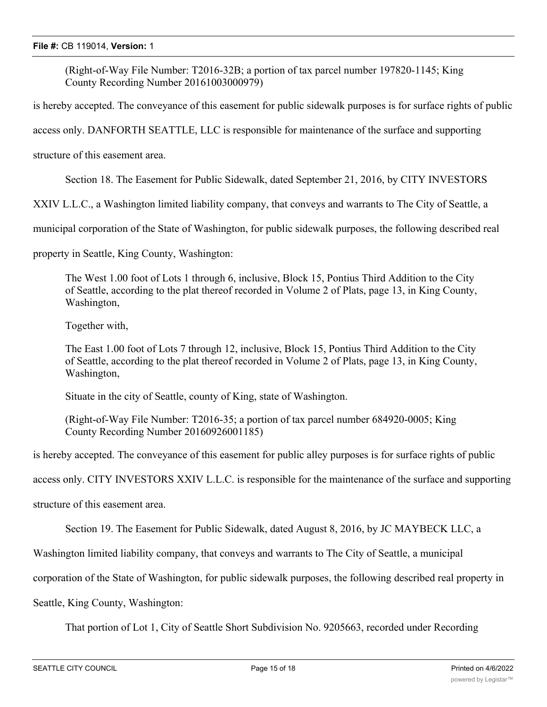(Right-of-Way File Number: T2016-32B; a portion of tax parcel number 197820-1145; King County Recording Number 20161003000979)

is hereby accepted. The conveyance of this easement for public sidewalk purposes is for surface rights of public

access only. DANFORTH SEATTLE, LLC is responsible for maintenance of the surface and supporting

structure of this easement area.

Section 18. The Easement for Public Sidewalk, dated September 21, 2016, by CITY INVESTORS

XXIV L.L.C., a Washington limited liability company, that conveys and warrants to The City of Seattle, a

municipal corporation of the State of Washington, for public sidewalk purposes, the following described real

property in Seattle, King County, Washington:

The West 1.00 foot of Lots 1 through 6, inclusive, Block 15, Pontius Third Addition to the City of Seattle, according to the plat thereof recorded in Volume 2 of Plats, page 13, in King County, Washington,

Together with,

The East 1.00 foot of Lots 7 through 12, inclusive, Block 15, Pontius Third Addition to the City of Seattle, according to the plat thereof recorded in Volume 2 of Plats, page 13, in King County, Washington,

Situate in the city of Seattle, county of King, state of Washington.

(Right-of-Way File Number: T2016-35; a portion of tax parcel number 684920-0005; King County Recording Number 20160926001185)

is hereby accepted. The conveyance of this easement for public alley purposes is for surface rights of public

access only. CITY INVESTORS XXIV L.L.C. is responsible for the maintenance of the surface and supporting

structure of this easement area.

Section 19. The Easement for Public Sidewalk, dated August 8, 2016, by JC MAYBECK LLC, a

Washington limited liability company, that conveys and warrants to The City of Seattle, a municipal

corporation of the State of Washington, for public sidewalk purposes, the following described real property in

Seattle, King County, Washington:

That portion of Lot 1, City of Seattle Short Subdivision No. 9205663, recorded under Recording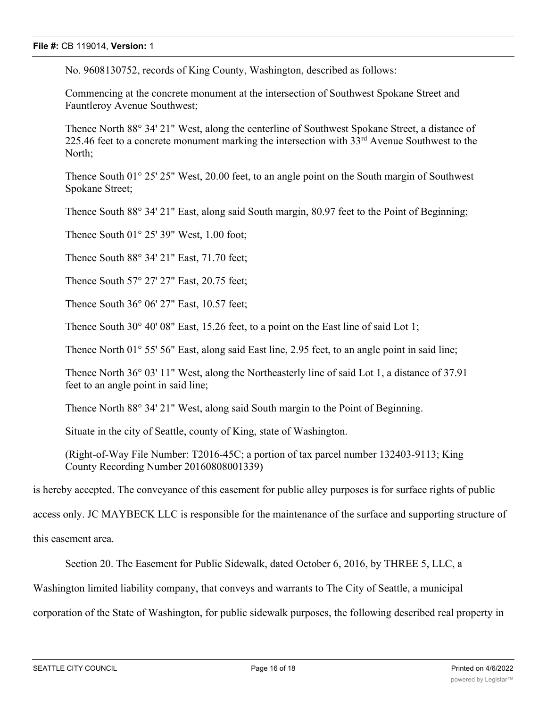No. 9608130752, records of King County, Washington, described as follows:

Commencing at the concrete monument at the intersection of Southwest Spokane Street and Fauntleroy Avenue Southwest;

Thence North 88° 34' 21" West, along the centerline of Southwest Spokane Street, a distance of 225.46 feet to a concrete monument marking the intersection with  $33<sup>rd</sup>$  Avenue Southwest to the North;

Thence South 01° 25' 25" West, 20.00 feet, to an angle point on the South margin of Southwest Spokane Street;

Thence South 88° 34' 21" East, along said South margin, 80.97 feet to the Point of Beginning;

Thence South 01° 25' 39" West, 1.00 foot;

Thence South 88° 34' 21" East, 71.70 feet;

Thence South 57° 27' 27" East, 20.75 feet;

Thence South 36° 06' 27" East, 10.57 feet;

Thence South 30° 40' 08" East, 15.26 feet, to a point on the East line of said Lot 1;

Thence North 01° 55' 56" East, along said East line, 2.95 feet, to an angle point in said line;

Thence North 36° 03' 11" West, along the Northeasterly line of said Lot 1, a distance of 37.91 feet to an angle point in said line;

Thence North 88° 34' 21" West, along said South margin to the Point of Beginning.

Situate in the city of Seattle, county of King, state of Washington.

(Right-of-Way File Number: T2016-45C; a portion of tax parcel number 132403-9113; King County Recording Number 20160808001339)

is hereby accepted. The conveyance of this easement for public alley purposes is for surface rights of public

access only. JC MAYBECK LLC is responsible for the maintenance of the surface and supporting structure of

this easement area.

Section 20. The Easement for Public Sidewalk, dated October 6, 2016, by THREE 5, LLC, a

Washington limited liability company, that conveys and warrants to The City of Seattle, a municipal

corporation of the State of Washington, for public sidewalk purposes, the following described real property in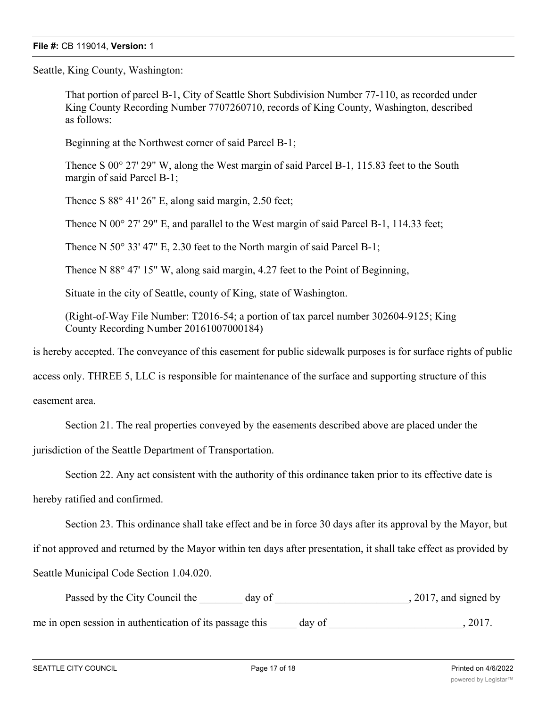Seattle, King County, Washington:

That portion of parcel B-1, City of Seattle Short Subdivision Number 77-110, as recorded under King County Recording Number 7707260710, records of King County, Washington, described as follows:

Beginning at the Northwest corner of said Parcel B-1;

Thence S 00° 27' 29" W, along the West margin of said Parcel B-1, 115.83 feet to the South margin of said Parcel B-1;

Thence S 88° 41' 26" E, along said margin, 2.50 feet;

Thence N 00° 27' 29" E, and parallel to the West margin of said Parcel B-1, 114.33 feet;

Thence N 50° 33' 47" E, 2.30 feet to the North margin of said Parcel B-1;

Thence N 88° 47' 15" W, along said margin, 4.27 feet to the Point of Beginning,

Situate in the city of Seattle, county of King, state of Washington.

(Right-of-Way File Number: T2016-54; a portion of tax parcel number 302604-9125; King County Recording Number 20161007000184)

is hereby accepted. The conveyance of this easement for public sidewalk purposes is for surface rights of public

access only. THREE 5, LLC is responsible for maintenance of the surface and supporting structure of this

easement area.

Section 21. The real properties conveyed by the easements described above are placed under the

jurisdiction of the Seattle Department of Transportation.

Section 22. Any act consistent with the authority of this ordinance taken prior to its effective date is

hereby ratified and confirmed.

Section 23. This ordinance shall take effect and be in force 30 days after its approval by the Mayor, but

if not approved and returned by the Mayor within ten days after presentation, it shall take effect as provided by Seattle Municipal Code Section 1.04.020.

Passed by the City Council the day of 3017, and signed by me in open session in authentication of its passage this day of  $\qquad \qquad$ , 2017.